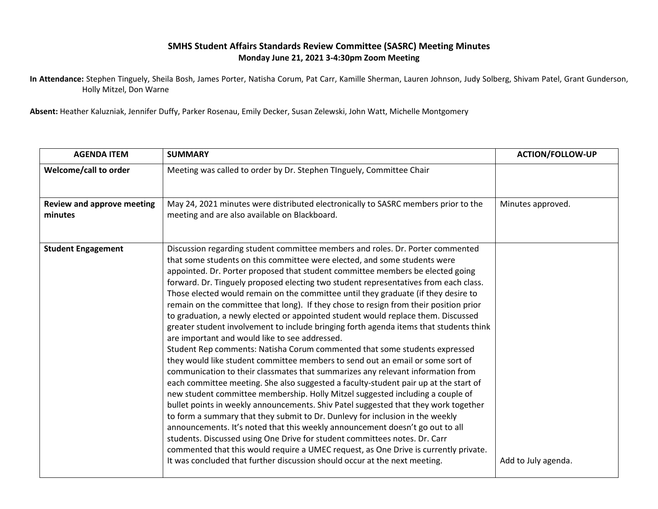## **SMHS Student Affairs Standards Review Committee (SASRC) Meeting Minutes Monday June 21, 2021 3-4:30pm Zoom Meeting**

**In Attendance:** Stephen Tinguely, Sheila Bosh, James Porter, Natisha Corum, Pat Carr, Kamille Sherman, Lauren Johnson, Judy Solberg, Shivam Patel, Grant Gunderson, Holly Mitzel, Don Warne

**Absent:** Heather Kaluzniak, Jennifer Duffy, Parker Rosenau, Emily Decker, Susan Zelewski, John Watt, Michelle Montgomery

| <b>AGENDA ITEM</b>                           | <b>SUMMARY</b>                                                                                                                                                                                                                                                                                                                                                                                                                                                                                                                                                                                                                                                                                                                                                                                                                                                                                                                                                                                                                                                                                                                                                                                                                                                                                                                                                                                                                                                                                                                                                                                                                                                                                  | <b>ACTION/FOLLOW-UP</b> |
|----------------------------------------------|-------------------------------------------------------------------------------------------------------------------------------------------------------------------------------------------------------------------------------------------------------------------------------------------------------------------------------------------------------------------------------------------------------------------------------------------------------------------------------------------------------------------------------------------------------------------------------------------------------------------------------------------------------------------------------------------------------------------------------------------------------------------------------------------------------------------------------------------------------------------------------------------------------------------------------------------------------------------------------------------------------------------------------------------------------------------------------------------------------------------------------------------------------------------------------------------------------------------------------------------------------------------------------------------------------------------------------------------------------------------------------------------------------------------------------------------------------------------------------------------------------------------------------------------------------------------------------------------------------------------------------------------------------------------------------------------------|-------------------------|
| Welcome/call to order                        | Meeting was called to order by Dr. Stephen TInguely, Committee Chair                                                                                                                                                                                                                                                                                                                                                                                                                                                                                                                                                                                                                                                                                                                                                                                                                                                                                                                                                                                                                                                                                                                                                                                                                                                                                                                                                                                                                                                                                                                                                                                                                            |                         |
| <b>Review and approve meeting</b><br>minutes | May 24, 2021 minutes were distributed electronically to SASRC members prior to the<br>meeting and are also available on Blackboard.                                                                                                                                                                                                                                                                                                                                                                                                                                                                                                                                                                                                                                                                                                                                                                                                                                                                                                                                                                                                                                                                                                                                                                                                                                                                                                                                                                                                                                                                                                                                                             | Minutes approved.       |
| <b>Student Engagement</b>                    | Discussion regarding student committee members and roles. Dr. Porter commented<br>that some students on this committee were elected, and some students were<br>appointed. Dr. Porter proposed that student committee members be elected going<br>forward. Dr. Tinguely proposed electing two student representatives from each class.<br>Those elected would remain on the committee until they graduate (if they desire to<br>remain on the committee that long). If they chose to resign from their position prior<br>to graduation, a newly elected or appointed student would replace them. Discussed<br>greater student involvement to include bringing forth agenda items that students think<br>are important and would like to see addressed.<br>Student Rep comments: Natisha Corum commented that some students expressed<br>they would like student committee members to send out an email or some sort of<br>communication to their classmates that summarizes any relevant information from<br>each committee meeting. She also suggested a faculty-student pair up at the start of<br>new student committee membership. Holly Mitzel suggested including a couple of<br>bullet points in weekly announcements. Shiv Patel suggested that they work together<br>to form a summary that they submit to Dr. Dunlevy for inclusion in the weekly<br>announcements. It's noted that this weekly announcement doesn't go out to all<br>students. Discussed using One Drive for student committees notes. Dr. Carr<br>commented that this would require a UMEC request, as One Drive is currently private.<br>It was concluded that further discussion should occur at the next meeting. | Add to July agenda.     |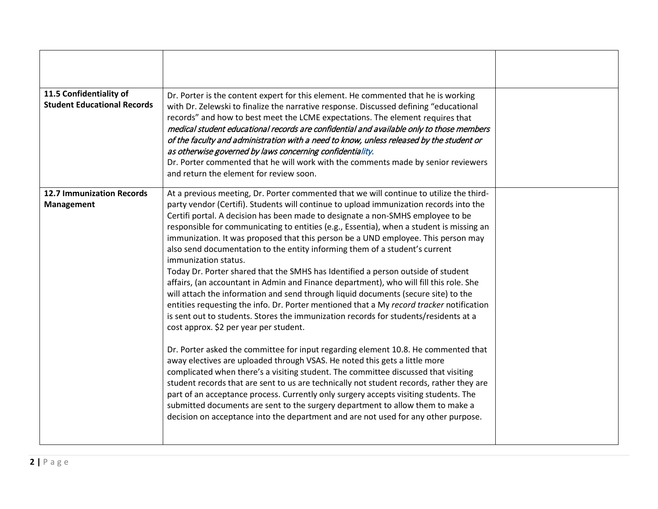| 11.5 Confidentiality of<br><b>Student Educational Records</b> | Dr. Porter is the content expert for this element. He commented that he is working<br>with Dr. Zelewski to finalize the narrative response. Discussed defining "educational<br>records" and how to best meet the LCME expectations. The element requires that<br>medical student educational records are confidential and available only to those members<br>of the faculty and administration with a need to know, unless released by the student or<br>as otherwise governed by laws concerning confidentiality.<br>Dr. Porter commented that he will work with the comments made by senior reviewers<br>and return the element for review soon.                                                                                                                                                                                                                                                                                                                                                                                                                                                                                                                                                                                                                                                                                                                                                                                                                                                                                                                                                                                                                                   |  |
|---------------------------------------------------------------|--------------------------------------------------------------------------------------------------------------------------------------------------------------------------------------------------------------------------------------------------------------------------------------------------------------------------------------------------------------------------------------------------------------------------------------------------------------------------------------------------------------------------------------------------------------------------------------------------------------------------------------------------------------------------------------------------------------------------------------------------------------------------------------------------------------------------------------------------------------------------------------------------------------------------------------------------------------------------------------------------------------------------------------------------------------------------------------------------------------------------------------------------------------------------------------------------------------------------------------------------------------------------------------------------------------------------------------------------------------------------------------------------------------------------------------------------------------------------------------------------------------------------------------------------------------------------------------------------------------------------------------------------------------------------------------|--|
| <b>12.7 Immunization Records</b><br>Management                | At a previous meeting, Dr. Porter commented that we will continue to utilize the third-<br>party vendor (Certifi). Students will continue to upload immunization records into the<br>Certifi portal. A decision has been made to designate a non-SMHS employee to be<br>responsible for communicating to entities (e.g., Essentia), when a student is missing an<br>immunization. It was proposed that this person be a UND employee. This person may<br>also send documentation to the entity informing them of a student's current<br>immunization status.<br>Today Dr. Porter shared that the SMHS has Identified a person outside of student<br>affairs, (an accountant in Admin and Finance department), who will fill this role. She<br>will attach the information and send through liquid documents (secure site) to the<br>entities requesting the info. Dr. Porter mentioned that a My record tracker notification<br>is sent out to students. Stores the immunization records for students/residents at a<br>cost approx. \$2 per year per student.<br>Dr. Porter asked the committee for input regarding element 10.8. He commented that<br>away electives are uploaded through VSAS. He noted this gets a little more<br>complicated when there's a visiting student. The committee discussed that visiting<br>student records that are sent to us are technically not student records, rather they are<br>part of an acceptance process. Currently only surgery accepts visiting students. The<br>submitted documents are sent to the surgery department to allow them to make a<br>decision on acceptance into the department and are not used for any other purpose. |  |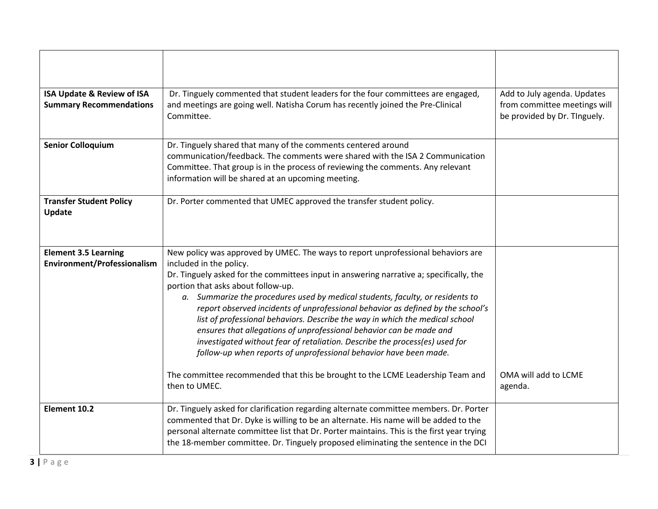| <b>ISA Update &amp; Review of ISA</b><br><b>Summary Recommendations</b> | Dr. Tinguely commented that student leaders for the four committees are engaged,<br>and meetings are going well. Natisha Corum has recently joined the Pre-Clinical<br>Committee.                                                                                                                                                                                                                                                                                                                                                                                                                                                                                                                                                                                                                                               | Add to July agenda. Updates<br>from committee meetings will<br>be provided by Dr. TInguely. |
|-------------------------------------------------------------------------|---------------------------------------------------------------------------------------------------------------------------------------------------------------------------------------------------------------------------------------------------------------------------------------------------------------------------------------------------------------------------------------------------------------------------------------------------------------------------------------------------------------------------------------------------------------------------------------------------------------------------------------------------------------------------------------------------------------------------------------------------------------------------------------------------------------------------------|---------------------------------------------------------------------------------------------|
| <b>Senior Colloquium</b>                                                | Dr. Tinguely shared that many of the comments centered around<br>communication/feedback. The comments were shared with the ISA 2 Communication<br>Committee. That group is in the process of reviewing the comments. Any relevant<br>information will be shared at an upcoming meeting.                                                                                                                                                                                                                                                                                                                                                                                                                                                                                                                                         |                                                                                             |
| <b>Transfer Student Policy</b><br>Update                                | Dr. Porter commented that UMEC approved the transfer student policy.                                                                                                                                                                                                                                                                                                                                                                                                                                                                                                                                                                                                                                                                                                                                                            |                                                                                             |
| <b>Element 3.5 Learning</b><br>Environment/Professionalism              | New policy was approved by UMEC. The ways to report unprofessional behaviors are<br>included in the policy.<br>Dr. Tinguely asked for the committees input in answering narrative a; specifically, the<br>portion that asks about follow-up.<br>a. Summarize the procedures used by medical students, faculty, or residents to<br>report observed incidents of unprofessional behavior as defined by the school's<br>list of professional behaviors. Describe the way in which the medical school<br>ensures that allegations of unprofessional behavior can be made and<br>investigated without fear of retaliation. Describe the process(es) used for<br>follow-up when reports of unprofessional behavior have been made.<br>The committee recommended that this be brought to the LCME Leadership Team and<br>then to UMEC. | OMA will add to LCME<br>agenda.                                                             |
| Element 10.2                                                            | Dr. Tinguely asked for clarification regarding alternate committee members. Dr. Porter<br>commented that Dr. Dyke is willing to be an alternate. His name will be added to the<br>personal alternate committee list that Dr. Porter maintains. This is the first year trying<br>the 18-member committee. Dr. Tinguely proposed eliminating the sentence in the DCI                                                                                                                                                                                                                                                                                                                                                                                                                                                              |                                                                                             |